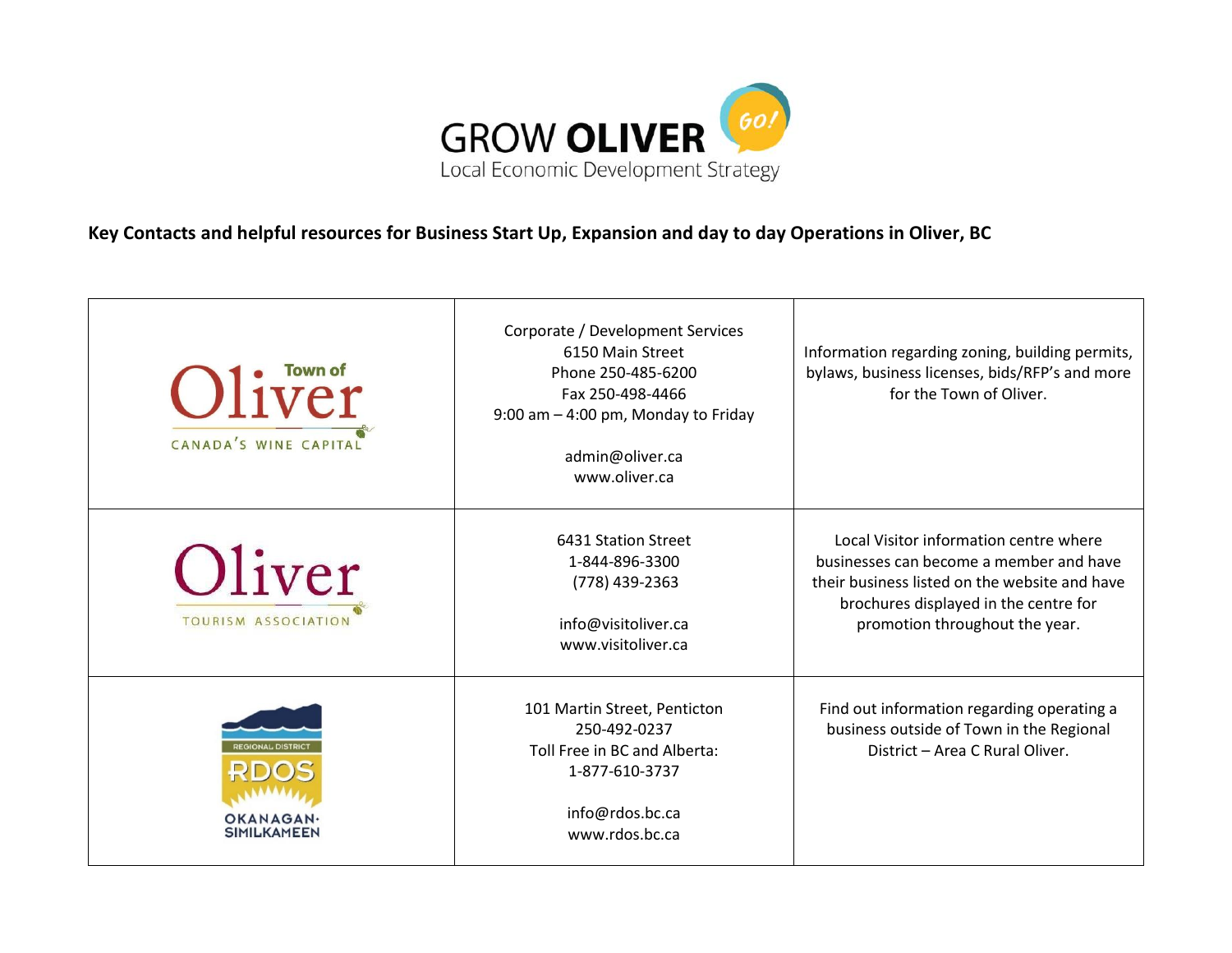

**Key Contacts and helpful resources for Business Start Up, Expansion and day to day Operations in Oliver, BC**

| Oliver<br>CANADA'S WINE CAPITAL | Corporate / Development Services<br>6150 Main Street<br>Phone 250-485-6200<br>Fax 250-498-4466<br>9:00 am - 4:00 pm, Monday to Friday<br>admin@oliver.ca<br>www.oliver.ca | Information regarding zoning, building permits,<br>bylaws, business licenses, bids/RFP's and more<br>for the Town of Oliver.                                                                                  |
|---------------------------------|---------------------------------------------------------------------------------------------------------------------------------------------------------------------------|---------------------------------------------------------------------------------------------------------------------------------------------------------------------------------------------------------------|
| Oliver<br>TOURISM ASSOCIATION   | 6431 Station Street<br>1-844-896-3300<br>(778) 439-2363<br>info@visitoliver.ca<br>www.visitoliver.ca                                                                      | Local Visitor information centre where<br>businesses can become a member and have<br>their business listed on the website and have<br>brochures displayed in the centre for<br>promotion throughout the year. |
| OKANAGAN<br><b>SIMILKAMEEN</b>  | 101 Martin Street, Penticton<br>250-492-0237<br>Toll Free in BC and Alberta:<br>1-877-610-3737<br>info@rdos.bc.ca<br>www.rdos.bc.ca                                       | Find out information regarding operating a<br>business outside of Town in the Regional<br>District - Area C Rural Oliver.                                                                                     |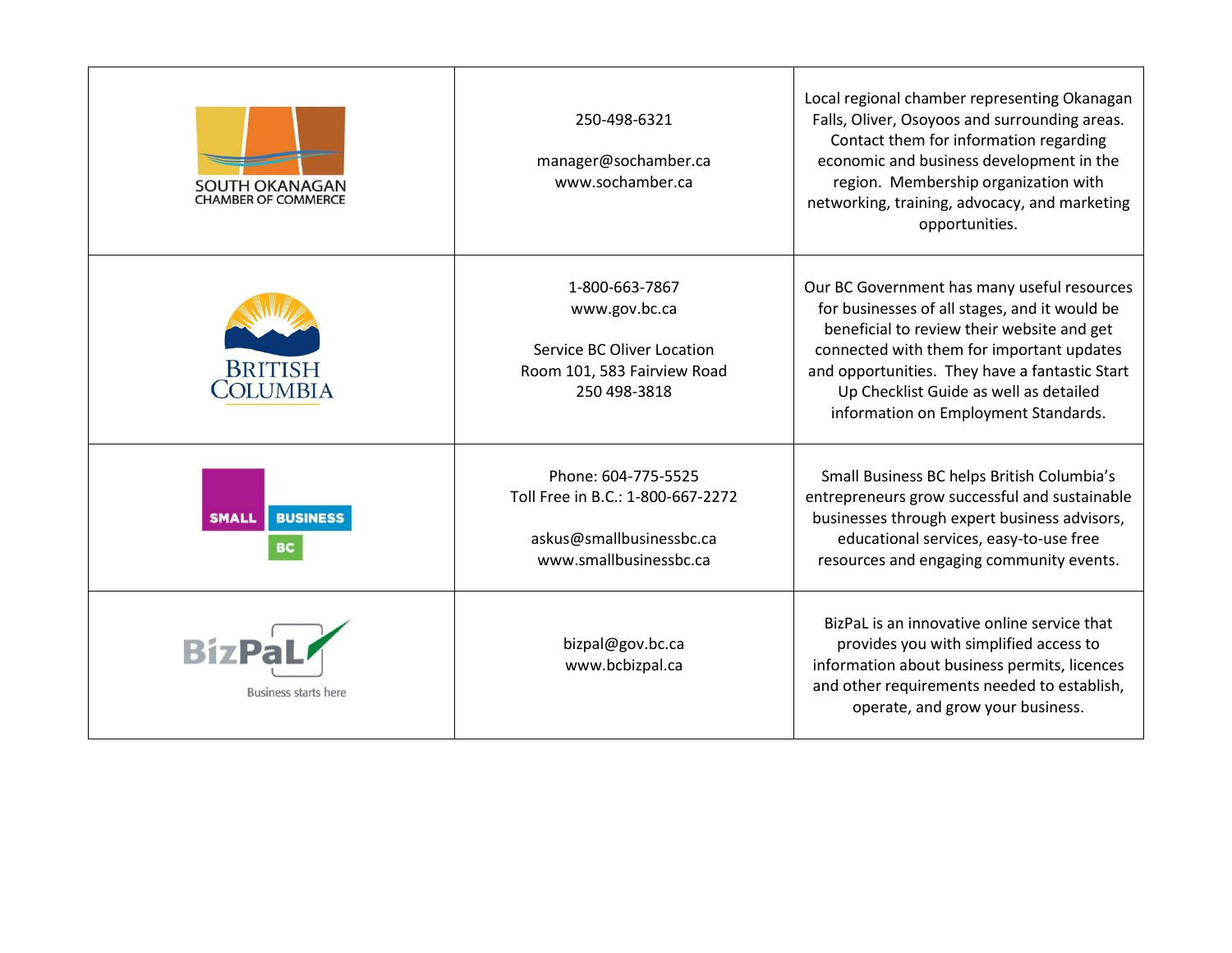| <b>SOUTH OKANAGAN</b><br><b>CHAMBER OF COMMERCE</b> | 250-498-6321<br>manager@sochamber.ca<br>www.sochamber.ca                                                       | Local regional chamber representing Okanagan<br>Falls, Oliver, Osoyoos and surrounding areas.<br>Contact them for information regarding<br>economic and business development in the<br>region. Membership organization with<br>networking, training, advocacy, and marketing<br>opportunities.                              |
|-----------------------------------------------------|----------------------------------------------------------------------------------------------------------------|-----------------------------------------------------------------------------------------------------------------------------------------------------------------------------------------------------------------------------------------------------------------------------------------------------------------------------|
| <b>BRITISH</b><br>COLUMBIA                          | 1-800-663-7867<br>www.gov.bc.ca<br>Service BC Oliver Location<br>Room 101, 583 Fairview Road<br>250 498-3818   | Our BC Government has many useful resources<br>for businesses of all stages, and it would be<br>beneficial to review their website and get<br>connected with them for important updates<br>and opportunities. They have a fantastic Start<br>Up Checklist Guide as well as detailed<br>information on Employment Standards. |
| <b>BUSINESS</b><br>SMALI<br>вc                      | Phone: 604-775-5525<br>Toll Free in B.C.: 1-800-667-2272<br>askus@smallbusinessbc.ca<br>www.smallbusinessbc.ca | Small Business BC helps British Columbia's<br>entrepreneurs grow successful and sustainable<br>businesses through expert business advisors,<br>educational services, easy-to-use free<br>resources and engaging community events.                                                                                           |
| <b>BizPaL</b><br>Business starts here               | bizpal@gov.bc.ca<br>www.bcbizpal.ca                                                                            | BizPaL is an innovative online service that<br>provides you with simplified access to<br>information about business permits, licences<br>and other requirements needed to establish,<br>operate, and grow your business.                                                                                                    |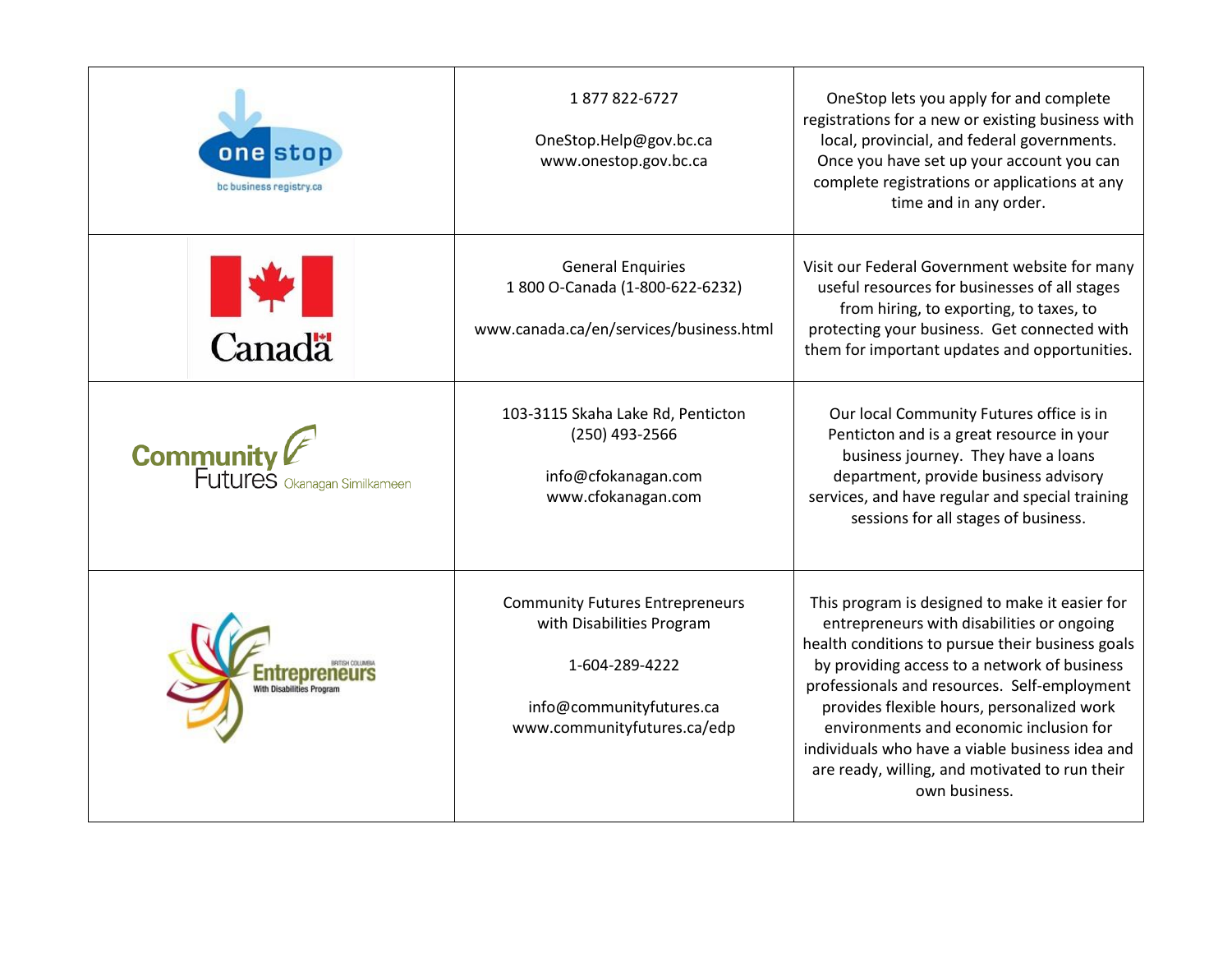| one stop<br>bc business registry.ca                         | 1877822-6727<br>OneStop.Help@gov.bc.ca<br>www.onestop.gov.bc.ca                                                                                  | OneStop lets you apply for and complete<br>registrations for a new or existing business with<br>local, provincial, and federal governments.<br>Once you have set up your account you can<br>complete registrations or applications at any<br>time and in any order.                                                                                                                                                                                             |
|-------------------------------------------------------------|--------------------------------------------------------------------------------------------------------------------------------------------------|-----------------------------------------------------------------------------------------------------------------------------------------------------------------------------------------------------------------------------------------------------------------------------------------------------------------------------------------------------------------------------------------------------------------------------------------------------------------|
| <b>Karada</b>                                               | <b>General Enquiries</b><br>1 800 O-Canada (1-800-622-6232)<br>www.canada.ca/en/services/business.html                                           | Visit our Federal Government website for many<br>useful resources for businesses of all stages<br>from hiring, to exporting, to taxes, to<br>protecting your business. Get connected with<br>them for important updates and opportunities.                                                                                                                                                                                                                      |
| <b>Community</b><br>Futures <sub>Okanagan Similkameen</sub> | 103-3115 Skaha Lake Rd, Penticton<br>(250) 493-2566<br>info@cfokanagan.com<br>www.cfokanagan.com                                                 | Our local Community Futures office is in<br>Penticton and is a great resource in your<br>business journey. They have a loans<br>department, provide business advisory<br>services, and have regular and special training<br>sessions for all stages of business.                                                                                                                                                                                                |
|                                                             | <b>Community Futures Entrepreneurs</b><br>with Disabilities Program<br>1-604-289-4222<br>info@communityfutures.ca<br>www.communityfutures.ca/edp | This program is designed to make it easier for<br>entrepreneurs with disabilities or ongoing<br>health conditions to pursue their business goals<br>by providing access to a network of business<br>professionals and resources. Self-employment<br>provides flexible hours, personalized work<br>environments and economic inclusion for<br>individuals who have a viable business idea and<br>are ready, willing, and motivated to run their<br>own business. |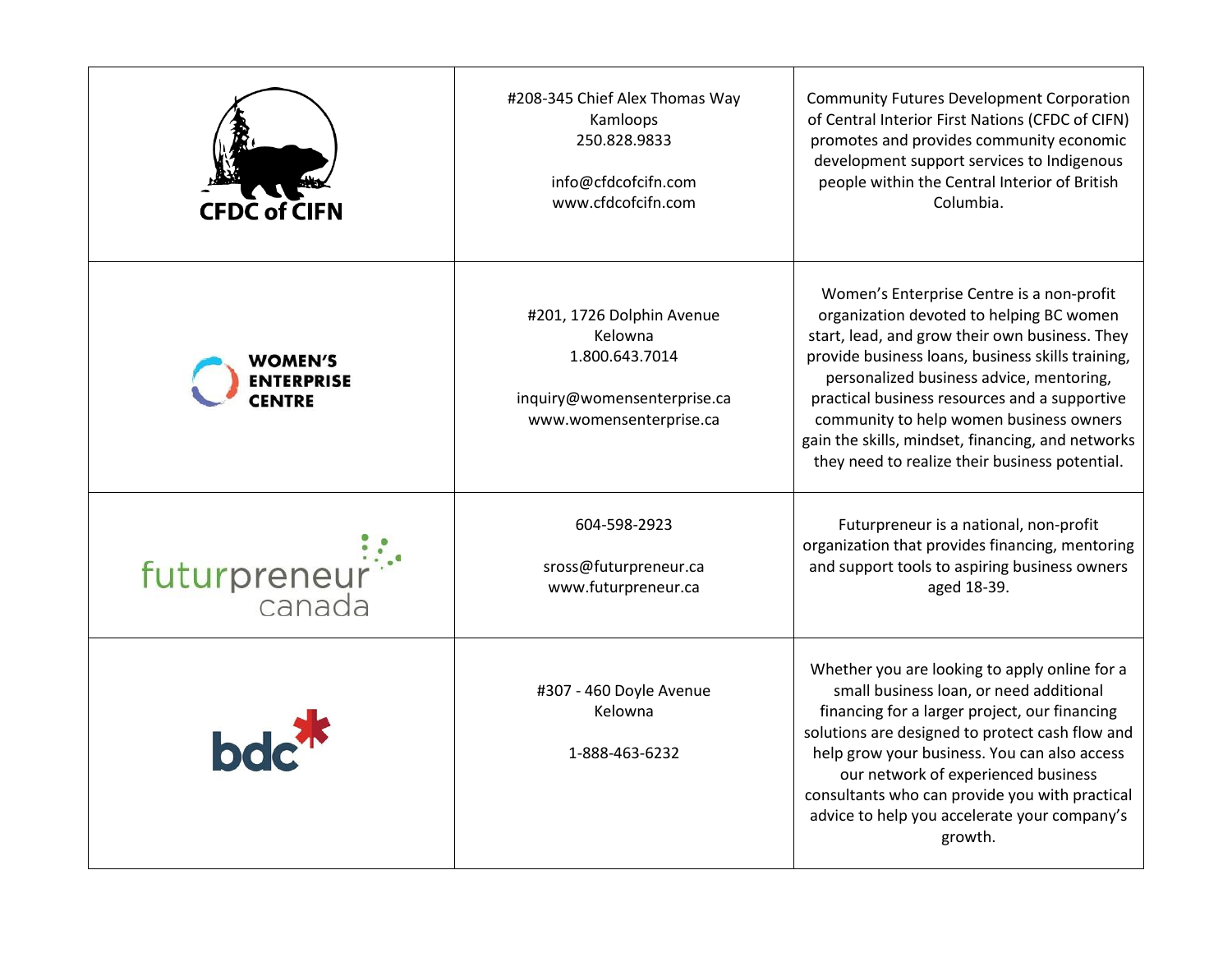| <b>CFDC of CIFN</b>          | #208-345 Chief Alex Thomas Way<br>Kamloops<br>250.828.9833<br>info@cfdcofcifn.com<br>www.cfdcofcifn.com          | <b>Community Futures Development Corporation</b><br>of Central Interior First Nations (CFDC of CIFN)<br>promotes and provides community economic<br>development support services to Indigenous<br>people within the Central Interior of British<br>Columbia.                                                                                                                                                                                |
|------------------------------|------------------------------------------------------------------------------------------------------------------|---------------------------------------------------------------------------------------------------------------------------------------------------------------------------------------------------------------------------------------------------------------------------------------------------------------------------------------------------------------------------------------------------------------------------------------------|
| WOMEN′S<br><b>ENTERPRISE</b> | #201, 1726 Dolphin Avenue<br>Kelowna<br>1.800.643.7014<br>inquiry@womensenterprise.ca<br>www.womensenterprise.ca | Women's Enterprise Centre is a non-profit<br>organization devoted to helping BC women<br>start, lead, and grow their own business. They<br>provide business loans, business skills training,<br>personalized business advice, mentoring,<br>practical business resources and a supportive<br>community to help women business owners<br>gain the skills, mindset, financing, and networks<br>they need to realize their business potential. |
| futurpreneur <sup>:</sup>    | 604-598-2923<br>sross@futurpreneur.ca<br>www.futurpreneur.ca                                                     | Futurpreneur is a national, non-profit<br>organization that provides financing, mentoring<br>and support tools to aspiring business owners<br>aged 18-39.                                                                                                                                                                                                                                                                                   |
| bdc <sup>7</sup>             | #307 - 460 Doyle Avenue<br>Kelowna<br>1-888-463-6232                                                             | Whether you are looking to apply online for a<br>small business loan, or need additional<br>financing for a larger project, our financing<br>solutions are designed to protect cash flow and<br>help grow your business. You can also access<br>our network of experienced business<br>consultants who can provide you with practical<br>advice to help you accelerate your company's<br>growth.                                            |